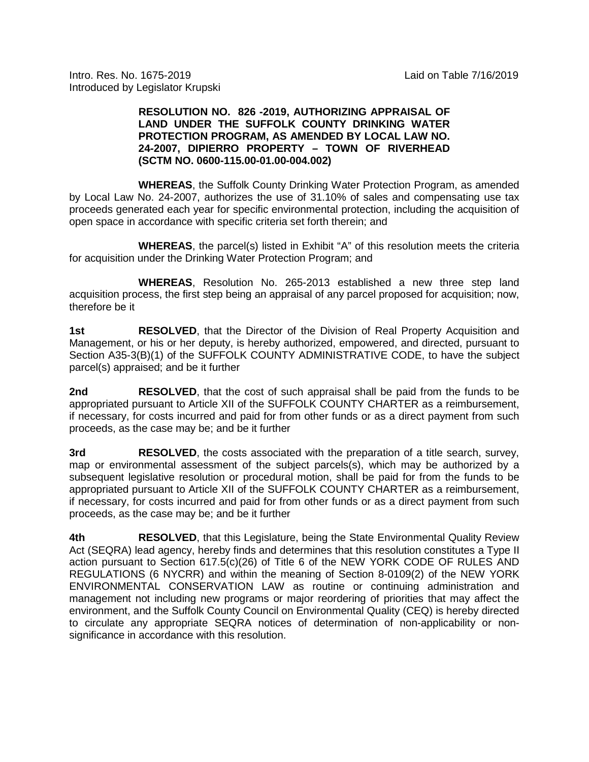Intro. Res. No. 1675-2019 Laid on Table 7/16/2019 Introduced by Legislator Krupski

## **RESOLUTION NO. 826 -2019, AUTHORIZING APPRAISAL OF LAND UNDER THE SUFFOLK COUNTY DRINKING WATER PROTECTION PROGRAM, AS AMENDED BY LOCAL LAW NO. 24-2007, DIPIERRO PROPERTY – TOWN OF RIVERHEAD (SCTM NO. 0600-115.00-01.00-004.002)**

**WHEREAS**, the Suffolk County Drinking Water Protection Program, as amended by Local Law No. 24-2007, authorizes the use of 31.10% of sales and compensating use tax proceeds generated each year for specific environmental protection, including the acquisition of open space in accordance with specific criteria set forth therein; and

**WHEREAS**, the parcel(s) listed in Exhibit "A" of this resolution meets the criteria for acquisition under the Drinking Water Protection Program; and

**WHEREAS**, Resolution No. 265-2013 established a new three step land acquisition process, the first step being an appraisal of any parcel proposed for acquisition; now, therefore be it

**1st <b>RESOLVED**, that the Director of the Division of Real Property Acquisition and Management, or his or her deputy, is hereby authorized, empowered, and directed, pursuant to Section A35-3(B)(1) of the SUFFOLK COUNTY ADMINISTRATIVE CODE, to have the subject parcel(s) appraised; and be it further

**2nd RESOLVED**, that the cost of such appraisal shall be paid from the funds to be appropriated pursuant to Article XII of the SUFFOLK COUNTY CHARTER as a reimbursement, if necessary, for costs incurred and paid for from other funds or as a direct payment from such proceeds, as the case may be; and be it further

**3rd RESOLVED**, the costs associated with the preparation of a title search, survey, map or environmental assessment of the subject parcels(s), which may be authorized by a subsequent legislative resolution or procedural motion, shall be paid for from the funds to be appropriated pursuant to Article XII of the SUFFOLK COUNTY CHARTER as a reimbursement, if necessary, for costs incurred and paid for from other funds or as a direct payment from such proceeds, as the case may be; and be it further

**4th RESOLVED**, that this Legislature, being the State Environmental Quality Review Act (SEQRA) lead agency, hereby finds and determines that this resolution constitutes a Type II action pursuant to Section 617.5(c)(26) of Title 6 of the NEW YORK CODE OF RULES AND REGULATIONS (6 NYCRR) and within the meaning of Section 8-0109(2) of the NEW YORK ENVIRONMENTAL CONSERVATION LAW as routine or continuing administration and management not including new programs or major reordering of priorities that may affect the environment, and the Suffolk County Council on Environmental Quality (CEQ) is hereby directed to circulate any appropriate SEQRA notices of determination of non-applicability or nonsignificance in accordance with this resolution.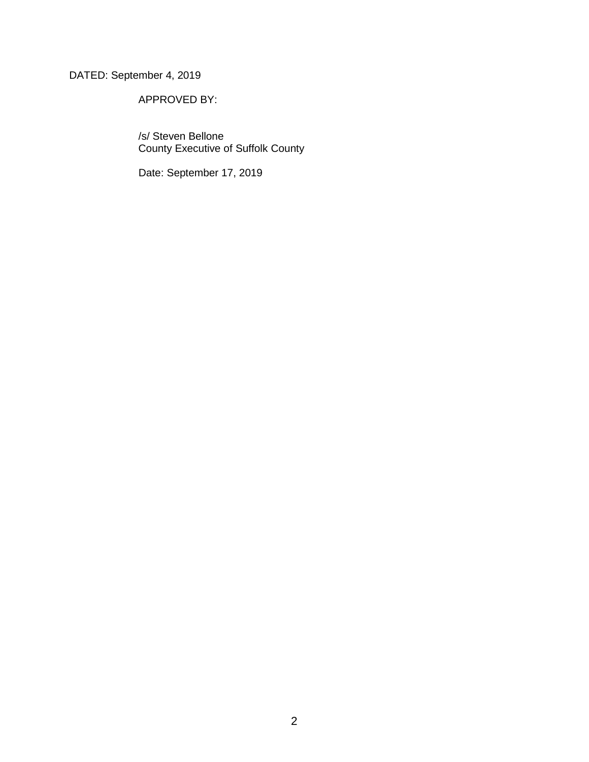DATED: September 4, 2019

APPROVED BY:

/s/ Steven Bellone County Executive of Suffolk County

Date: September 17, 2019